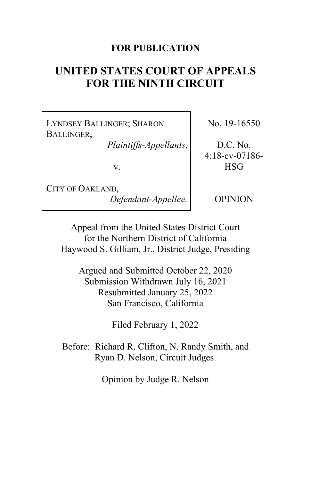## **FOR PUBLICATION**

# **UNITED STATES COURT OF APPEALS FOR THE NINTH CIRCUIT**

LYNDSEY BALLINGER; SHARON BALLINGER,

*Plaintiffs-Appellants*,

v.

CITY OF OAKLAND, *Defendant-Appellee.* No. 19-16550

D.C. No. 4:18-cv-07186- HSG

OPINION

Appeal from the United States District Court for the Northern District of California Haywood S. Gilliam, Jr., District Judge, Presiding

Argued and Submitted October 22, 2020 Submission Withdrawn July 16, 2021 Resubmitted January 25, 2022 San Francisco, California

Filed February 1, 2022

Before: Richard R. Clifton, N. Randy Smith, and Ryan D. Nelson, Circuit Judges.

Opinion by Judge R. Nelson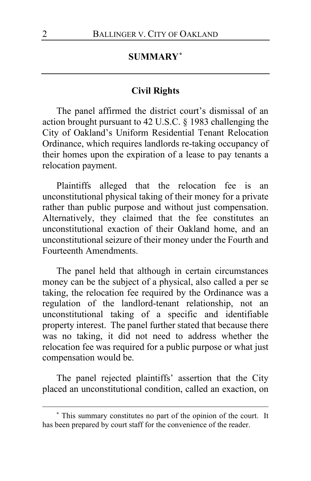## **SUMMARY[\\*](#page-1-0)**

## **Civil Rights**

The panel affirmed the district court's dismissal of an action brought pursuant to 42 U.S.C. § 1983 challenging the City of Oakland's Uniform Residential Tenant Relocation Ordinance, which requires landlords re-taking occupancy of their homes upon the expiration of a lease to pay tenants a relocation payment.

Plaintiffs alleged that the relocation fee is an unconstitutional physical taking of their money for a private rather than public purpose and without just compensation. Alternatively, they claimed that the fee constitutes an unconstitutional exaction of their Oakland home, and an unconstitutional seizure of their money under the Fourth and Fourteenth Amendments.

The panel held that although in certain circumstances money can be the subject of a physical, also called a per se taking, the relocation fee required by the Ordinance was a regulation of the landlord-tenant relationship, not an unconstitutional taking of a specific and identifiable property interest. The panel further stated that because there was no taking, it did not need to address whether the relocation fee was required for a public purpose or what just compensation would be.

The panel rejected plaintiffs' assertion that the City placed an unconstitutional condition, called an exaction, on

<span id="page-1-0"></span>**<sup>\*</sup>** This summary constitutes no part of the opinion of the court. It has been prepared by court staff for the convenience of the reader.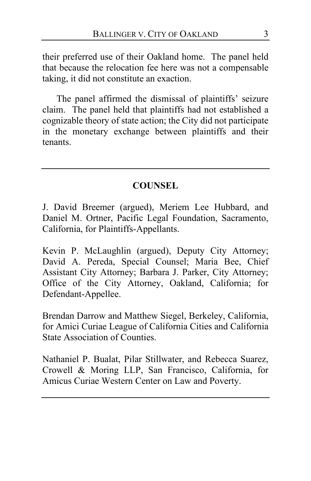their preferred use of their Oakland home. The panel held that because the relocation fee here was not a compensable taking, it did not constitute an exaction.

The panel affirmed the dismissal of plaintiffs' seizure claim. The panel held that plaintiffs had not established a cognizable theory of state action; the City did not participate in the monetary exchange between plaintiffs and their tenants.

## **COUNSEL**

J. David Breemer (argued), Meriem Lee Hubbard, and Daniel M. Ortner, Pacific Legal Foundation, Sacramento, California, for Plaintiffs-Appellants.

Kevin P. McLaughlin (argued), Deputy City Attorney; David A. Pereda, Special Counsel; Maria Bee, Chief Assistant City Attorney; Barbara J. Parker, City Attorney; Office of the City Attorney, Oakland, California; for Defendant-Appellee.

Brendan Darrow and Matthew Siegel, Berkeley, California, for Amici Curiae League of California Cities and California State Association of Counties.

Nathaniel P. Bualat, Pilar Stillwater, and Rebecca Suarez, Crowell & Moring LLP, San Francisco, California, for Amicus Curiae Western Center on Law and Poverty.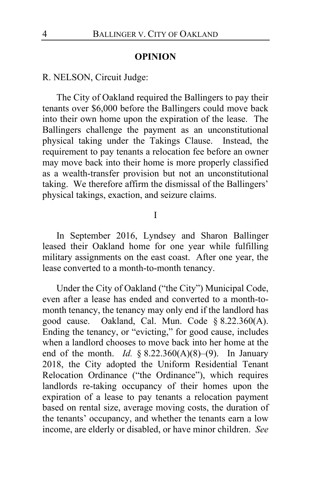#### **OPINION**

## R. NELSON, Circuit Judge:

The City of Oakland required the Ballingers to pay their tenants over \$6,000 before the Ballingers could move back into their own home upon the expiration of the lease. The Ballingers challenge the payment as an unconstitutional physical taking under the Takings Clause. Instead, the requirement to pay tenants a relocation fee before an owner may move back into their home is more properly classified as a wealth-transfer provision but not an unconstitutional taking. We therefore affirm the dismissal of the Ballingers' physical takings, exaction, and seizure claims.

#### I

In September 2016, Lyndsey and Sharon Ballinger leased their Oakland home for one year while fulfilling military assignments on the east coast. After one year, the lease converted to a month-to-month tenancy.

Under the City of Oakland ("the City") Municipal Code, even after a lease has ended and converted to a month-tomonth tenancy, the tenancy may only end if the landlord has good cause. Oakland, Cal. Mun. Code § 8.22.360(A). Ending the tenancy, or "evicting," for good cause, includes when a landlord chooses to move back into her home at the end of the month. *Id.* § 8.22.360(A)(8)–(9). In January 2018, the City adopted the Uniform Residential Tenant Relocation Ordinance ("the Ordinance"), which requires landlords re-taking occupancy of their homes upon the expiration of a lease to pay tenants a relocation payment based on rental size, average moving costs, the duration of the tenants' occupancy, and whether the tenants earn a low income, are elderly or disabled, or have minor children. *See*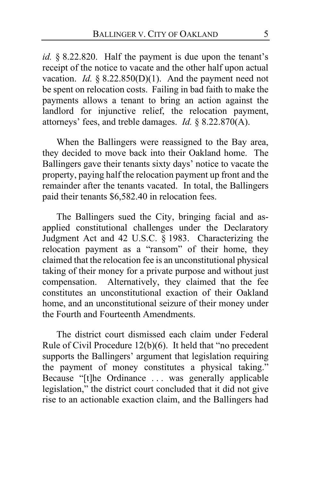*id.* § 8.22.820. Half the payment is due upon the tenant's receipt of the notice to vacate and the other half upon actual vacation. *Id.*  $\S$  8.22.850(D)(1). And the payment need not be spent on relocation costs. Failing in bad faith to make the payments allows a tenant to bring an action against the landlord for injunctive relief, the relocation payment, attorneys' fees, and treble damages. *Id.* § 8.22.870(A).

When the Ballingers were reassigned to the Bay area, they decided to move back into their Oakland home. The Ballingers gave their tenants sixty days' notice to vacate the property, paying half the relocation payment up front and the remainder after the tenants vacated. In total, the Ballingers paid their tenants \$6,582.40 in relocation fees.

The Ballingers sued the City, bringing facial and asapplied constitutional challenges under the Declaratory Judgment Act and 42 U.S.C. § 1983. Characterizing the relocation payment as a "ransom" of their home, they claimed that the relocation fee is an unconstitutional physical taking of their money for a private purpose and without just compensation. Alternatively, they claimed that the fee constitutes an unconstitutional exaction of their Oakland home, and an unconstitutional seizure of their money under the Fourth and Fourteenth Amendments.

The district court dismissed each claim under Federal Rule of Civil Procedure 12(b)(6). It held that "no precedent supports the Ballingers' argument that legislation requiring the payment of money constitutes a physical taking." Because "[t]he Ordinance . . . was generally applicable legislation," the district court concluded that it did not give rise to an actionable exaction claim, and the Ballingers had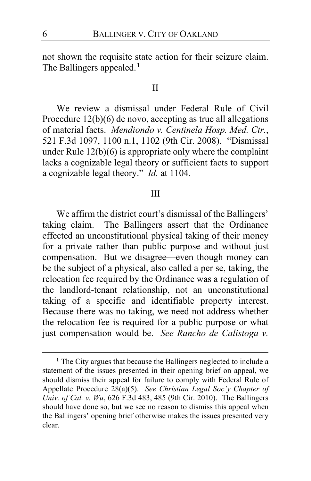not shown the requisite state action for their seizure claim. The Ballingers appealed.**[1](#page-5-0)**

## II

We review a dismissal under Federal Rule of Civil Procedure 12(b)(6) de novo, accepting as true all allegations of material facts. *Mendiondo v. Centinela Hosp. Med. Ctr.*, 521 F.3d 1097, 1100 n.1, 1102 (9th Cir. 2008). "Dismissal under Rule  $12(b)(6)$  is appropriate only where the complaint lacks a cognizable legal theory or sufficient facts to support a cognizable legal theory." *Id.* at 1104.

#### III

We affirm the district court's dismissal of the Ballingers' taking claim. The Ballingers assert that the Ordinance effected an unconstitutional physical taking of their money for a private rather than public purpose and without just compensation. But we disagree—even though money can be the subject of a physical, also called a per se, taking, the relocation fee required by the Ordinance was a regulation of the landlord-tenant relationship, not an unconstitutional taking of a specific and identifiable property interest. Because there was no taking, we need not address whether the relocation fee is required for a public purpose or what just compensation would be. *See Rancho de Calistoga v.* 

<span id="page-5-0"></span>**<sup>1</sup>** The City argues that because the Ballingers neglected to include a statement of the issues presented in their opening brief on appeal, we should dismiss their appeal for failure to comply with Federal Rule of Appellate Procedure 28(a)(5). *See Christian Legal Soc'y Chapter of Univ. of Cal. v. Wu*, 626 F.3d 483, 485 (9th Cir. 2010). The Ballingers should have done so, but we see no reason to dismiss this appeal when the Ballingers' opening brief otherwise makes the issues presented very clear.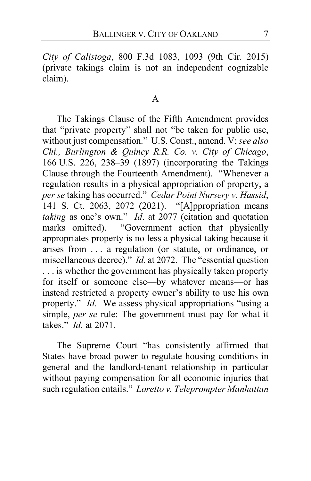*City of Calistoga*, 800 F.3d 1083, 1093 (9th Cir. 2015) (private takings claim is not an independent cognizable claim).

## A

The Takings Clause of the Fifth Amendment provides that "private property" shall not "be taken for public use, without just compensation." U.S. Const., amend. V; *see also Chi., Burlington & Quincy R.R. Co. v. City of Chicago*, 166 U.S. 226, 238–39 (1897) (incorporating the Takings Clause through the Fourteenth Amendment). "Whenever a regulation results in a physical appropriation of property, a *per se* taking has occurred." *Cedar Point Nursery v. Hassid*, 141 S. Ct. 2063, 2072 (2021). "[A]ppropriation means *taking* as one's own." *Id*. at 2077 (citation and quotation marks omitted). "Government action that physically appropriates property is no less a physical taking because it arises from . . . a regulation (or statute, or ordinance, or miscellaneous decree)." *Id.* at 2072. The "essential question ... is whether the government has physically taken property for itself or someone else—by whatever means—or has instead restricted a property owner's ability to use his own property." *Id*. We assess physical appropriations "using a simple, *per se* rule: The government must pay for what it takes." *Id.* at 2071.

The Supreme Court "has consistently affirmed that States have broad power to regulate housing conditions in general and the landlord-tenant relationship in particular without paying compensation for all economic injuries that such regulation entails." *Loretto v. Teleprompter Manhattan*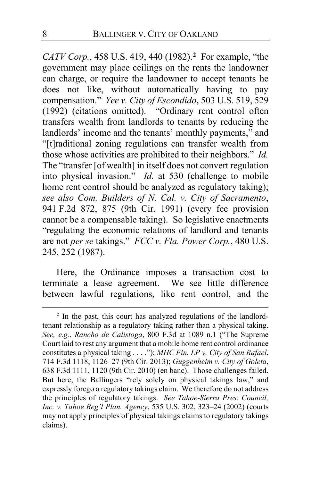*CATV Corp.*, 458 U.S. 419, 440 (1982).**[2](#page-7-0)** For example, "the government may place ceilings on the rents the landowner can charge, or require the landowner to accept tenants he does not like, without automatically having to pay compensation." *Yee v. City of Escondido*, 503 U.S. 519, 529 (1992) (citations omitted). "Ordinary rent control often transfers wealth from landlords to tenants by reducing the landlords' income and the tenants' monthly payments," and "[t]raditional zoning regulations can transfer wealth from those whose activities are prohibited to their neighbors." *Id.* The "transfer [of wealth] in itself does not convert regulation into physical invasion." *Id.* at 530 (challenge to mobile home rent control should be analyzed as regulatory taking); *see also Com. Builders of N. Cal. v. City of Sacramento*, 941 F.2d 872, 875 (9th Cir. 1991) (every fee provision cannot be a compensable taking). So legislative enactments "regulating the economic relations of landlord and tenants are not *per se* takings." *FCC v. Fla. Power Corp.*, 480 U.S. 245, 252 (1987).

Here, the Ordinance imposes a transaction cost to terminate a lease agreement. We see little difference between lawful regulations, like rent control, and the

<span id="page-7-0"></span>**<sup>2</sup>** In the past, this court has analyzed regulations of the landlordtenant relationship as a regulatory taking rather than a physical taking. *See, e.g.*, *Rancho de Calistoga*, 800 F.3d at 1089 n.1 ("The Supreme Court laid to rest any argument that a mobile home rent control ordinance constitutes a physical taking . . . ."); *MHC Fin. LP v. City of San Rafael*, 714 F.3d 1118, 1126–27 (9th Cir. 2013); *Guggenheim v. City of Goleta*, 638 F.3d 1111, 1120 (9th Cir. 2010) (en banc). Those challenges failed. But here, the Ballingers "rely solely on physical takings law," and expressly forego a regulatory takings claim. We therefore do not address the principles of regulatory takings. *See Tahoe-Sierra Pres. Council, Inc. v. Tahoe Reg'l Plan. Agency*, 535 U.S. 302, 323–24 (2002) (courts may not apply principles of physical takings claims to regulatory takings claims).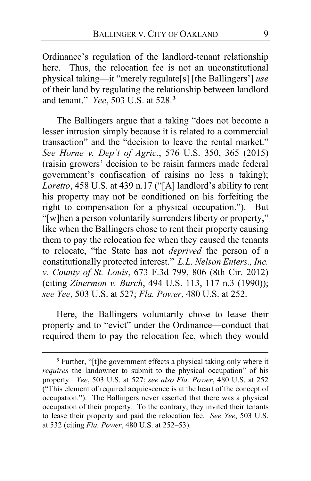Ordinance's regulation of the landlord-tenant relationship here. Thus, the relocation fee is not an unconstitutional physical taking—it "merely regulate[s] [the Ballingers'] *use*  of their land by regulating the relationship between landlord and tenant." *Yee*, 503 U.S. at 528.**[3](#page-8-0)**

The Ballingers argue that a taking "does not become a lesser intrusion simply because it is related to a commercial transaction" and the "decision to leave the rental market." *See Horne v. Dep't of Agric.*, 576 U.S. 350, 365 (2015) (raisin growers' decision to be raisin farmers made federal government's confiscation of raisins no less a taking); *Loretto*, 458 U.S. at 439 n.17 ("[A] landlord's ability to rent his property may not be conditioned on his forfeiting the right to compensation for a physical occupation."). But "[w]hen a person voluntarily surrenders liberty or property," like when the Ballingers chose to rent their property causing them to pay the relocation fee when they caused the tenants to relocate, "the State has not *deprived* the person of a constitutionally protected interest." *L.L. Nelson Enters., Inc. v. County of St. Louis*, 673 F.3d 799, 806 (8th Cir. 2012) (citing *Zinermon v. Burch*, 494 U.S. 113, 117 n.3 (1990)); *see Yee*, 503 U.S. at 527; *Fla. Power*, 480 U.S. at 252.

Here, the Ballingers voluntarily chose to lease their property and to "evict" under the Ordinance—conduct that required them to pay the relocation fee, which they would

<span id="page-8-0"></span>**<sup>3</sup>** Further, "[t]he government effects a physical taking only where it *requires* the landowner to submit to the physical occupation" of his property. *Yee*, 503 U.S. at 527; *see also Fla. Power*, 480 U.S. at 252 ("This element of required acquiescence is at the heart of the concept of occupation."). The Ballingers never asserted that there was a physical occupation of their property. To the contrary, they invited their tenants to lease their property and paid the relocation fee. *See Yee*, 503 U.S. at 532 (citing *Fla. Power*, 480 U.S. at 252–53).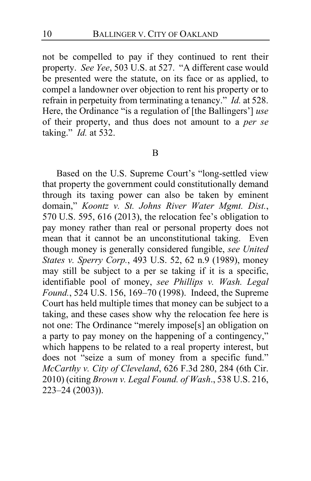not be compelled to pay if they continued to rent their property. *See Yee*, 503 U.S. at 527. "A different case would be presented were the statute, on its face or as applied, to compel a landowner over objection to rent his property or to refrain in perpetuity from terminating a tenancy." *Id.* at 528. Here, the Ordinance "is a regulation of [the Ballingers'] *use*  of their property, and thus does not amount to a *per se* taking." *Id.* at 532.

#### B

Based on the U.S. Supreme Court's "long-settled view that property the government could constitutionally demand through its taxing power can also be taken by eminent domain," *Koontz v. St. Johns River Water Mgmt. Dist.*, 570 U.S. 595, 616 (2013), the relocation fee's obligation to pay money rather than real or personal property does not mean that it cannot be an unconstitutional taking. Even though money is generally considered fungible, *see United States v. Sperry Corp.*, 493 U.S. 52, 62 n.9 (1989), money may still be subject to a per se taking if it is a specific, identifiable pool of money, *see Phillips v. Wash. Legal Found.*, 524 U.S. 156, 169–70 (1998). Indeed, the Supreme Court has held multiple times that money can be subject to a taking, and these cases show why the relocation fee here is not one: The Ordinance "merely impose[s] an obligation on a party to pay money on the happening of a contingency," which happens to be related to a real property interest, but does not "seize a sum of money from a specific fund." *McCarthy v. City of Cleveland*, 626 F.3d 280, 284 (6th Cir. 2010) (citing *Brown v. Legal Found. of Wash*., 538 U.S. 216, 223–24 (2003)).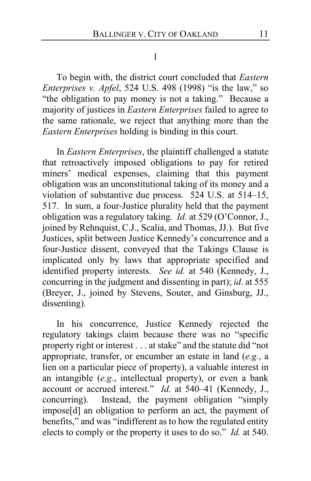1

To begin with, the district court concluded that *Eastern Enterprises v. Apfel*, 524 U.S. 498 (1998) "is the law," so "the obligation to pay money is not a taking." Because a majority of justices in *Eastern Enterprises* failed to agree to the same rationale, we reject that anything more than the *Eastern Enterprises* holding is binding in this court.

In *Eastern Enterprises*, the plaintiff challenged a statute that retroactively imposed obligations to pay for retired miners' medical expenses, claiming that this payment obligation was an unconstitutional taking of its money and a violation of substantive due process. 524 U.S. at 514–15, 517. In sum, a four-Justice plurality held that the payment obligation was a regulatory taking. *Id.* at 529 (O'Connor, J., joined by Rehnquist, C.J., Scalia, and Thomas, JJ.). But five Justices, split between Justice Kennedy's concurrence and a four-Justice dissent, conveyed that the Takings Clause is implicated only by laws that appropriate specified and identified property interests. *See id.* at 540 (Kennedy, J., concurring in the judgment and dissenting in part); *id*. at 555 (Breyer, J., joined by Stevens, Souter, and Ginsburg, JJ., dissenting).

In his concurrence, Justice Kennedy rejected the regulatory takings claim because there was no "specific property right or interest . . . at stake" and the statute did "not appropriate, transfer, or encumber an estate in land (*e.g.*, a lien on a particular piece of property), a valuable interest in an intangible (*e.g.*, intellectual property), or even a bank account or accrued interest." *Id.* at 540–41 (Kennedy, J., concurring). Instead, the payment obligation "simply impose[d] an obligation to perform an act, the payment of benefits," and was "indifferent as to how the regulated entity elects to comply or the property it uses to do so." *Id.* at 540.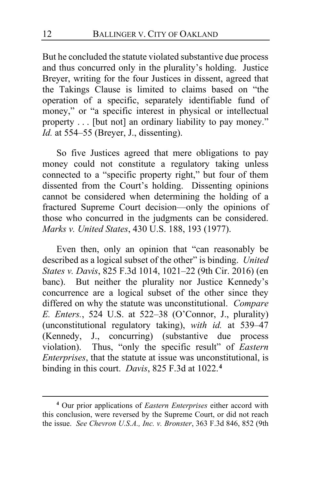But he concluded the statute violated substantive due process and thus concurred only in the plurality's holding. Justice Breyer, writing for the four Justices in dissent, agreed that the Takings Clause is limited to claims based on "the operation of a specific, separately identifiable fund of money," or "a specific interest in physical or intellectual property . . . [but not] an ordinary liability to pay money." *Id.* at 554–55 (Breyer, J., dissenting).

So five Justices agreed that mere obligations to pay money could not constitute a regulatory taking unless connected to a "specific property right," but four of them dissented from the Court's holding. Dissenting opinions cannot be considered when determining the holding of a fractured Supreme Court decision—only the opinions of those who concurred in the judgments can be considered. *Marks v. United States*, 430 U.S. 188, 193 (1977).

Even then, only an opinion that "can reasonably be described as a logical subset of the other" is binding. *United States v. Davis*, 825 F.3d 1014, 1021–22 (9th Cir. 2016) (en banc). But neither the plurality nor Justice Kennedy's concurrence are a logical subset of the other since they differed on why the statute was unconstitutional. *Compare E. Enters.*, 524 U.S. at 522–38 (O'Connor, J., plurality) (unconstitutional regulatory taking), *with id.* at 539–47 (Kennedy, J., concurring) (substantive due process violation). Thus, "only the specific result" of *Eastern Enterprises*, that the statute at issue was unconstitutional, is binding in this court. *Davis*, 825 F.3d at 1022.**[4](#page-11-0)**

<span id="page-11-0"></span>**<sup>4</sup>** Our prior applications of *Eastern Enterprises* either accord with this conclusion, were reversed by the Supreme Court, or did not reach the issue. *See Chevron U.S.A., Inc. v. Bronster*, 363 F.3d 846, 852 (9th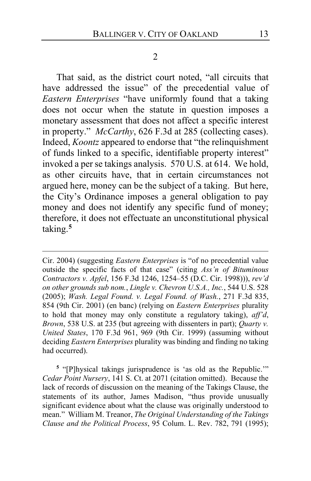2

That said, as the district court noted, "all circuits that have addressed the issue" of the precedential value of *Eastern Enterprises* "have uniformly found that a taking does not occur when the statute in question imposes a monetary assessment that does not affect a specific interest in property." *McCarthy*, 626 F.3d at 285 (collecting cases). Indeed, *Koontz* appeared to endorse that "the relinquishment of funds linked to a specific, identifiable property interest" invoked a per se takings analysis. 570 U.S. at 614. We hold, as other circuits have, that in certain circumstances not argued here, money can be the subject of a taking. But here, the City's Ordinance imposes a general obligation to pay money and does not identify any specific fund of money; therefore, it does not effectuate an unconstitutional physical taking.**[5](#page-12-0)**

Cir. 2004) (suggesting *Eastern Enterprises* is "of no precedential value outside the specific facts of that case" (citing *Ass'n of Bituminous Contractors v. Apfel*, 156 F.3d 1246, 1254–55 (D.C. Cir. 1998))), *rev'd on other grounds sub nom.*, *Lingle v. Chevron U.S.A., Inc.*, 544 U.S. 528 (2005); *Wash. Legal Found. v. Legal Found. of Wash.*, 271 F.3d 835, 854 (9th Cir. 2001) (en banc) (relying on *Eastern Enterprises* plurality to hold that money may only constitute a regulatory taking), *aff'd*, *Brown*, 538 U.S. at 235 (but agreeing with dissenters in part); *Quarty v. United States*, 170 F.3d 961, 969 (9th Cir. 1999) (assuming without deciding *Eastern Enterprises* plurality was binding and finding no taking had occurred).

<span id="page-12-0"></span>**<sup>5</sup>** "[P]hysical takings jurisprudence is 'as old as the Republic.'" *Cedar Point Nursery*, 141 S. Ct. at 2071 (citation omitted). Because the lack of records of discussion on the meaning of the Takings Clause, the statements of its author, James Madison, "thus provide unusually significant evidence about what the clause was originally understood to mean." William M. Treanor, *The Original Understanding of the Takings Clause and the Political Process*, 95 Colum. L. Rev. 782, 791 (1995);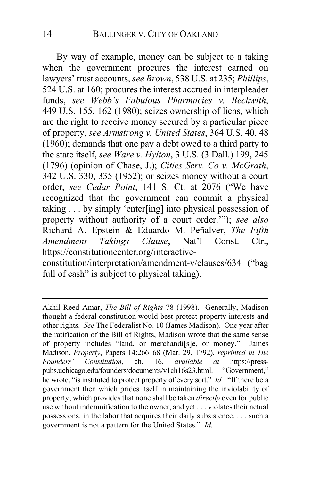By way of example, money can be subject to a taking when the government procures the interest earned on lawyers' trust accounts, *see Brown*, 538 U.S. at 235; *Phillips*, 524 U.S. at 160; procures the interest accrued in interpleader funds, *see Webb's Fabulous Pharmacies v. Beckwith*, 449 U.S. 155, 162 (1980); seizes ownership of liens, which are the right to receive money secured by a particular piece of property, *see Armstrong v. United States*, 364 U.S. 40, 48 (1960); demands that one pay a debt owed to a third party to the state itself, *see Ware v. Hylton*, 3 U.S. (3 Dall.) 199, 245 (1796) (opinion of Chase, J.); *Cities Serv. Co v. McGrath*, 342 U.S. 330, 335 (1952); or seizes money without a court order, *see Cedar Point*, 141 S. Ct. at 2076 ("We have recognized that the government can commit a physical taking . . . by simply 'enter[ing] into physical possession of property without authority of a court order.'"); *see also*  Richard A. Epstein & Eduardo M. Peñalver, *The Fifth Amendment Takings Clause*, Nat'l Const. Ctr., https://constitutioncenter.org/interactive-

constitution/interpretation/amendment-v/clauses/634 ("bag full of cash" is subject to physical taking).

Akhil Reed Amar, *The Bill of Rights* 78 (1998). Generally, Madison thought a federal constitution would best protect property interests and other rights. *See* The Federalist No. 10 (James Madison). One year after the ratification of the Bill of Rights, Madison wrote that the same sense of property includes "land, or merchandi[s]e, or money." James Madison, *Property*, Papers 14:266–68 (Mar. 29, 1792), *reprinted in The Founders' Constitution*, ch. 16, *available at* https://presspubs.uchicago.edu/founders/documents/v1ch16s23.html. "Government," he wrote, "is instituted to protect property of every sort." *Id.* "If there be a government then which prides itself in maintaining the inviolability of property; which provides that none shall be taken *directly* even for public use without indemnification to the owner, and yet . . . violates their actual possessions, in the labor that acquires their daily subsistence, . . . such a government is not a pattern for the United States." *Id.*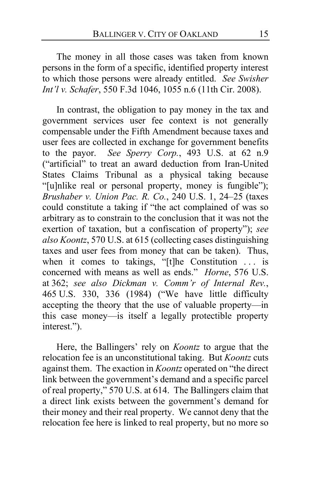The money in all those cases was taken from known persons in the form of a specific, identified property interest to which those persons were already entitled. *See Swisher Int'l v. Schafer*, 550 F.3d 1046, 1055 n.6 (11th Cir. 2008).

In contrast, the obligation to pay money in the tax and government services user fee context is not generally compensable under the Fifth Amendment because taxes and user fees are collected in exchange for government benefits to the payor. *See Sperry Corp.*, 493 U.S. at 62 n.9 ("artificial" to treat an award deduction from Iran-United States Claims Tribunal as a physical taking because "[u]nlike real or personal property, money is fungible"); *Brushaber v. Union Pac. R. Co.*, 240 U.S. 1, 24–25 (taxes could constitute a taking if "the act complained of was so arbitrary as to constrain to the conclusion that it was not the exertion of taxation, but a confiscation of property"); *see also Koontz*, 570 U.S. at 615 (collecting cases distinguishing taxes and user fees from money that can be taken). Thus, when it comes to takings, "[t]he Constitution ... is concerned with means as well as ends." *Horne*, 576 U.S. at 362; *see also Dickman v. Comm'r of Internal Rev.*, 465 U.S. 330, 336 (1984) ("We have little difficulty accepting the theory that the use of valuable property—in this case money—is itself a legally protectible property interest.").

Here, the Ballingers' rely on *Koontz* to argue that the relocation fee is an unconstitutional taking. But *Koontz* cuts against them. The exaction in *Koontz* operated on "the direct link between the government's demand and a specific parcel of real property," 570 U.S. at 614. The Ballingers claim that a direct link exists between the government's demand for their money and their real property. We cannot deny that the relocation fee here is linked to real property, but no more so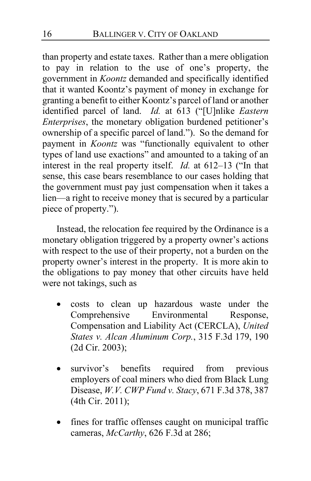than property and estate taxes. Rather than a mere obligation to pay in relation to the use of one's property, the government in *Koontz* demanded and specifically identified that it wanted Koontz's payment of money in exchange for granting a benefit to either Koontz's parcel of land or another identified parcel of land. *Id.* at 613 ("[U]nlike *Eastern Enterprises*, the monetary obligation burdened petitioner's ownership of a specific parcel of land."). So the demand for payment in *Koontz* was "functionally equivalent to other types of land use exactions" and amounted to a taking of an interest in the real property itself. *Id.* at 612–13 ("In that sense, this case bears resemblance to our cases holding that the government must pay just compensation when it takes a lien—a right to receive money that is secured by a particular piece of property.").

Instead, the relocation fee required by the Ordinance is a monetary obligation triggered by a property owner's actions with respect to the use of their property, not a burden on the property owner's interest in the property. It is more akin to the obligations to pay money that other circuits have held were not takings, such as

- costs to clean up hazardous waste under the Comprehensive Environmental Response, Compensation and Liability Act (CERCLA), *United States v. Alcan Aluminum Corp.*, 315 F.3d 179, 190 (2d Cir. 2003);
- survivor's benefits required from previous employers of coal miners who died from Black Lung Disease, *W.V. CWP Fund v. Stacy*, 671 F.3d 378, 387 (4th Cir. 2011);
- fines for traffic offenses caught on municipal traffic cameras, *McCarthy*, 626 F.3d at 286;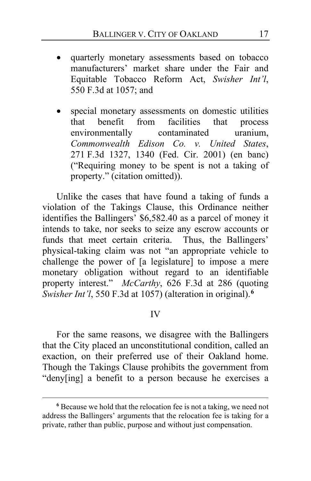- quarterly monetary assessments based on tobacco manufacturers' market share under the Fair and Equitable Tobacco Reform Act, *Swisher Int'l*, 550 F.3d at 1057; and
- special monetary assessments on domestic utilities that benefit from facilities that process environmentally contaminated uranium, *Commonwealth Edison Co. v. United States*, 271 F.3d 1327, 1340 (Fed. Cir. 2001) (en banc) ("Requiring money to be spent is not a taking of property." (citation omitted)).

Unlike the cases that have found a taking of funds a violation of the Takings Clause, this Ordinance neither identifies the Ballingers' \$6,582.40 as a parcel of money it intends to take, nor seeks to seize any escrow accounts or funds that meet certain criteria. Thus, the Ballingers' funds that meet certain criteria. physical-taking claim was not "an appropriate vehicle to challenge the power of [a legislature] to impose a mere monetary obligation without regard to an identifiable property interest." *McCarthy*, 626 F.3d at 286 (quoting *Swisher Int'l*, 550 F.3d at 1057) (alteration in original).**[6](#page-16-0)**

## IV

For the same reasons, we disagree with the Ballingers that the City placed an unconstitutional condition, called an exaction, on their preferred use of their Oakland home. Though the Takings Clause prohibits the government from "deny[ing] a benefit to a person because he exercises a

<span id="page-16-0"></span>**<sup>6</sup>** Because we hold that the relocation fee is not a taking, we need not address the Ballingers' arguments that the relocation fee is taking for a private, rather than public, purpose and without just compensation.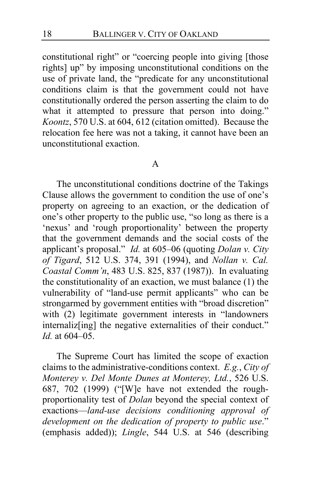constitutional right" or "coercing people into giving [those rights] up" by imposing unconstitutional conditions on the use of private land, the "predicate for any unconstitutional conditions claim is that the government could not have constitutionally ordered the person asserting the claim to do what it attempted to pressure that person into doing." *Koontz*, 570 U.S. at 604, 612 (citation omitted). Because the relocation fee here was not a taking, it cannot have been an unconstitutional exaction.

## A

The unconstitutional conditions doctrine of the Takings Clause allows the government to condition the use of one's property on agreeing to an exaction, or the dedication of one's other property to the public use, "so long as there is a 'nexus' and 'rough proportionality' between the property that the government demands and the social costs of the applicant's proposal." *Id.* at 605–06 (quoting *Dolan v. City of Tigard*, 512 U.S. 374, 391 (1994), and *Nollan v. Cal. Coastal Comm'n*, 483 U.S. 825, 837 (1987)). In evaluating the constitutionality of an exaction, we must balance (1) the vulnerability of "land-use permit applicants" who can be strongarmed by government entities with "broad discretion" with (2) legitimate government interests in "landowners" internaliz<sup>[ing]</sup> the negative externalities of their conduct." *Id.* at 604–05.

The Supreme Court has limited the scope of exaction claims to the administrative-conditions context. *E.g.*, *City of Monterey v. Del Monte Dunes at Monterey, Ltd.*, 526 U.S. 687, 702 (1999) ("[W]e have not extended the roughproportionality test of *Dolan* beyond the special context of exactions—*land-use decisions conditioning approval of development on the dedication of property to public use*." (emphasis added)); *Lingle*, 544 U.S. at 546 (describing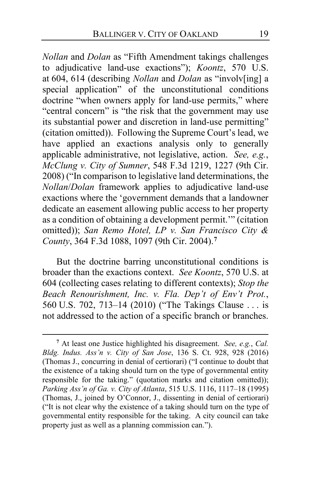*Nollan* and *Dolan* as "Fifth Amendment takings challenges to adjudicative land-use exactions"); *Koontz*, 570 U.S. at 604, 614 (describing *Nollan* and *Dolan* as "involv[ing] a special application" of the unconstitutional conditions doctrine "when owners apply for land-use permits," where "central concern" is "the risk that the government may use its substantial power and discretion in land-use permitting" (citation omitted)). Following the Supreme Court's lead, we have applied an exactions analysis only to generally applicable administrative, not legislative, action. *See, e.g.*, *McClung v. City of Sumner*, 548 F.3d 1219, 1227 (9th Cir. 2008) ("In comparison to legislative land determinations, the *Nollan*/*Dolan* framework applies to adjudicative land-use exactions where the 'government demands that a landowner dedicate an easement allowing public access to her property as a condition of obtaining a development permit.'" (citation omitted)); *San Remo Hotel, LP v. San Francisco City & County*, 364 F.3d 1088, 1097 (9th Cir. 2004).**[7](#page-18-0)**

But the doctrine barring unconstitutional conditions is broader than the exactions context. *See Koontz*, 570 U.S. at 604 (collecting cases relating to different contexts); *Stop the Beach Renourishment, Inc. v. Fla. Dep't of Env't Prot.*, 560 U.S. 702, 713–14 (2010) ("The Takings Clause . . . is not addressed to the action of a specific branch or branches.

<span id="page-18-0"></span>**<sup>7</sup>** At least one Justice highlighted his disagreement. *See, e.g.*, *Cal. Bldg. Indus. Ass'n v. City of San Jose*, 136 S. Ct. 928, 928 (2016) (Thomas J., concurring in denial of certiorari) ("I continue to doubt that the existence of a taking should turn on the type of governmental entity responsible for the taking." (quotation marks and citation omitted)); *Parking Ass'n of Ga. v. City of Atlanta*, 515 U.S. 1116, 1117–18 (1995) (Thomas, J., joined by O'Connor, J., dissenting in denial of certiorari) ("It is not clear why the existence of a taking should turn on the type of governmental entity responsible for the taking. A city council can take property just as well as a planning commission can.").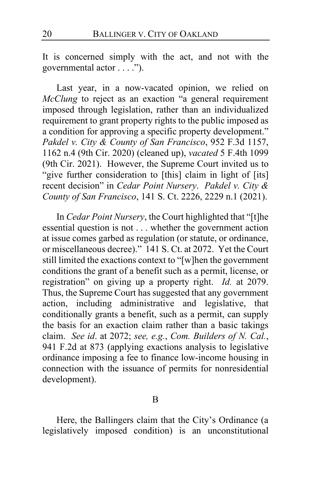It is concerned simply with the act, and not with the governmental actor . . . .").

Last year, in a now-vacated opinion, we relied on *McClung* to reject as an exaction "a general requirement imposed through legislation, rather than an individualized requirement to grant property rights to the public imposed as a condition for approving a specific property development." *Pakdel v. City & County of San Francisco*, 952 F.3d 1157, 1162 n.4 (9th Cir. 2020) (cleaned up), *vacated* 5 F.4th 1099 (9th Cir. 2021). However, the Supreme Court invited us to "give further consideration to [this] claim in light of [its] recent decision" in *Cedar Point Nursery*. *Pakdel v. City & County of San Francisco*, 141 S. Ct. 2226, 2229 n.1 (2021).

In *Cedar Point Nursery*, the Court highlighted that "[t]he essential question is not . . . whether the government action at issue comes garbed as regulation (or statute, or ordinance, or miscellaneous decree)." 141 S. Ct. at 2072. Yet the Court still limited the exactions context to "[w]hen the government conditions the grant of a benefit such as a permit, license, or registration" on giving up a property right. *Id.* at 2079. Thus, the Supreme Court has suggested that any government action, including administrative and legislative, that conditionally grants a benefit, such as a permit, can supply the basis for an exaction claim rather than a basic takings claim. *See id*. at 2072; *see, e.g.*, *Com. Builders of N. Cal.*, 941 F.2d at 873 (applying exactions analysis to legislative ordinance imposing a fee to finance low-income housing in connection with the issuance of permits for nonresidential development).

B

Here, the Ballingers claim that the City's Ordinance (a legislatively imposed condition) is an unconstitutional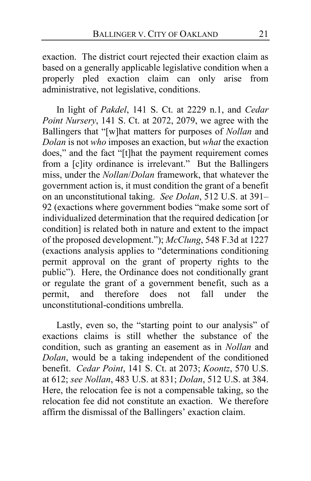exaction. The district court rejected their exaction claim as based on a generally applicable legislative condition when a properly pled exaction claim can only arise from administrative, not legislative, conditions.

In light of *Pakdel*, 141 S. Ct. at 2229 n.1, and *Cedar Point Nursery*, 141 S. Ct. at 2072, 2079, we agree with the Ballingers that "[w]hat matters for purposes of *Nollan* and *Dolan* is not *who* imposes an exaction, but *what* the exaction does," and the fact "[t]hat the payment requirement comes from a [c]ity ordinance is irrelevant." But the Ballingers miss, under the *Nollan*/*Dolan* framework, that whatever the government action is, it must condition the grant of a benefit on an unconstitutional taking. *See Dolan*, 512 U.S. at 391– 92 (exactions where government bodies "make some sort of individualized determination that the required dedication [or condition] is related both in nature and extent to the impact of the proposed development."); *McClung*, 548 F.3d at 1227 (exactions analysis applies to "determinations conditioning permit approval on the grant of property rights to the public"). Here, the Ordinance does not conditionally grant or regulate the grant of a government benefit, such as a permit, and therefore does not fall under the unconstitutional-conditions umbrella.

Lastly, even so, the "starting point to our analysis" of exactions claims is still whether the substance of the condition, such as granting an easement as in *Nollan* and *Dolan*, would be a taking independent of the conditioned benefit. *Cedar Point*, 141 S. Ct. at 2073; *Koontz*, 570 U.S. at 612; *see Nollan*, 483 U.S. at 831; *Dolan*, 512 U.S. at 384. Here, the relocation fee is not a compensable taking, so the relocation fee did not constitute an exaction. We therefore affirm the dismissal of the Ballingers' exaction claim.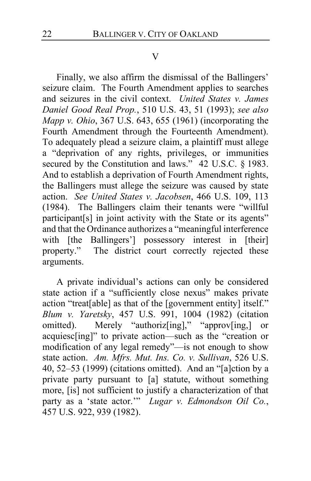## V

Finally, we also affirm the dismissal of the Ballingers' seizure claim. The Fourth Amendment applies to searches and seizures in the civil context. *United States v. James Daniel Good Real Prop.*, 510 U.S. 43, 51 (1993); *see also Mapp v. Ohio*, 367 U.S. 643, 655 (1961) (incorporating the Fourth Amendment through the Fourteenth Amendment). To adequately plead a seizure claim, a plaintiff must allege a "deprivation of any rights, privileges, or immunities secured by the Constitution and laws." 42 U.S.C. § 1983. And to establish a deprivation of Fourth Amendment rights, the Ballingers must allege the seizure was caused by state action. *See United States v. Jacobsen*, 466 U.S. 109, 113 (1984). The Ballingers claim their tenants were "willful participant[s] in joint activity with the State or its agents" and that the Ordinance authorizes a "meaningful interference with [the Ballingers'] possessory interest in [their] property." The district court correctly rejected these The district court correctly rejected these arguments.

A private individual's actions can only be considered state action if a "sufficiently close nexus" makes private action "treat[able] as that of the [government entity] itself." *Blum v. Yaretsky*, 457 U.S. 991, 1004 (1982) (citation omitted). Merely "authoriz[ing]," "approv[ing,] or acquiesc[ing]" to private action—such as the "creation or modification of any legal remedy"—is not enough to show state action. *Am. Mfrs. Mut. Ins. Co. v. Sullivan*, 526 U.S. 40, 52–53 (1999) (citations omitted). And an "[a]ction by a private party pursuant to [a] statute, without something more, [is] not sufficient to justify a characterization of that party as a 'state actor.'" *Lugar v. Edmondson Oil Co.*, 457 U.S. 922, 939 (1982).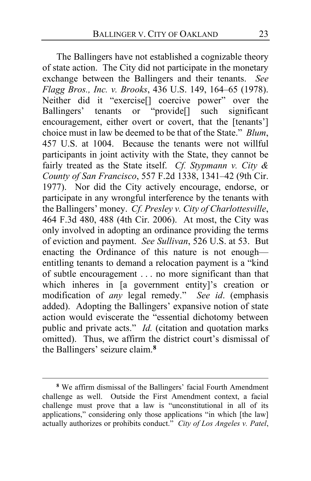The Ballingers have not established a cognizable theory of state action. The City did not participate in the monetary exchange between the Ballingers and their tenants. *See Flagg Bros., Inc. v. Brooks*, 436 U.S. 149, 164–65 (1978). Neither did it "exercise[] coercive power" over the Ballingers' tenants or "provide[] such significant encouragement, either overt or covert, that the [tenants'] choice must in law be deemed to be that of the State." *Blum*, 457 U.S. at 1004. Because the tenants were not willful participants in joint activity with the State, they cannot be fairly treated as the State itself. *Cf. Stypmann v. City & County of San Francisco*, 557 F.2d 1338, 1341–42 (9th Cir. 1977).Nor did the City actively encourage, endorse, or participate in any wrongful interference by the tenants with the Ballingers' money. *Cf. Presley v. City of Charlottesville*, 464 F.3d 480, 488 (4th Cir. 2006). At most, the City was only involved in adopting an ordinance providing the terms of eviction and payment. *See Sullivan*, 526 U.S. at 53. But enacting the Ordinance of this nature is not enough entitling tenants to demand a relocation payment is a "kind of subtle encouragement . . . no more significant than that which inheres in [a government entity]'s creation or modification of *any* legal remedy." *See id*. (emphasis added). Adopting the Ballingers' expansive notion of state action would eviscerate the "essential dichotomy between public and private acts." *Id.* (citation and quotation marks omitted). Thus, we affirm the district court's dismissal of the Ballingers' seizure claim.**[8](#page-22-0)**

<span id="page-22-0"></span>**<sup>8</sup>** We affirm dismissal of the Ballingers' facial Fourth Amendment challenge as well. Outside the First Amendment context, a facial challenge must prove that a law is "unconstitutional in all of its applications," considering only those applications "in which [the law] actually authorizes or prohibits conduct." *City of Los Angeles v. Patel*,